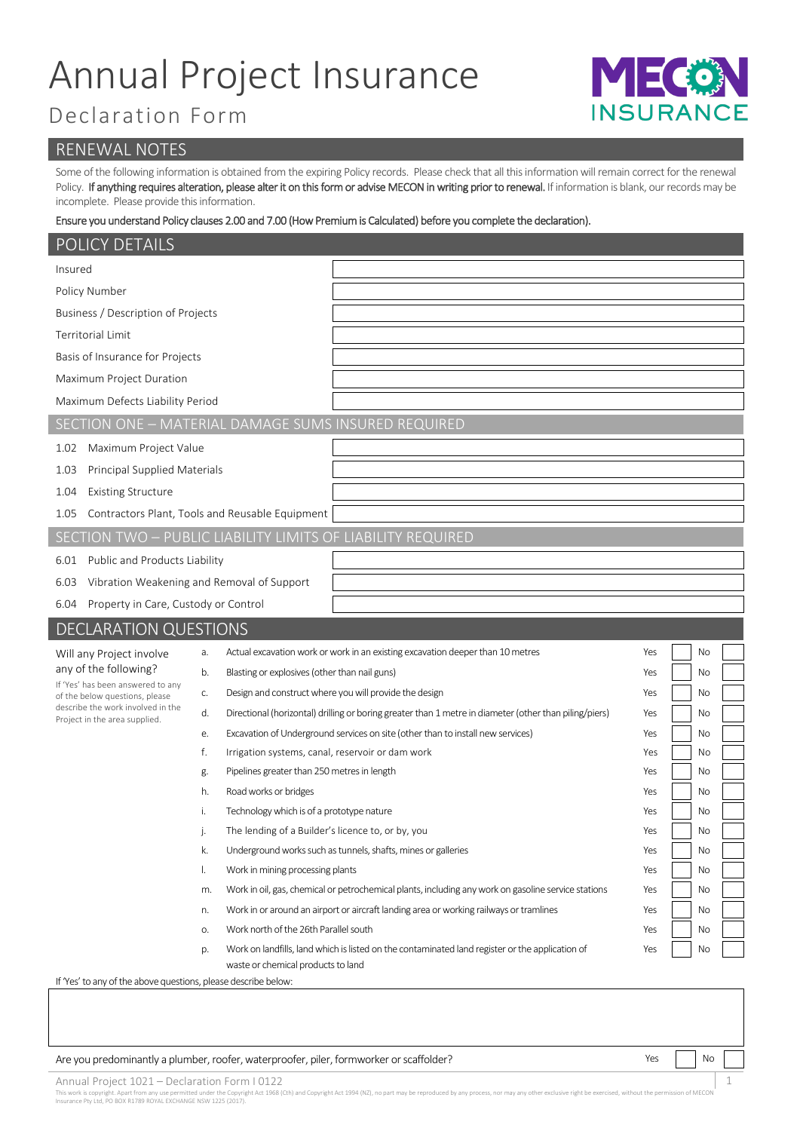## Annual Project Insurance

### Declaration Form

# INSURANO

#### RENEWAL NOTES

Some of the following information is obtained from the expiring Policy records. Please check that all this information will remain correct for the renewal Policy. If anything requires alteration, please alter it on this form or advise MECON in writing prior to renewal. If information is blank, our records may be incomplete. Please provide this information.

#### Ensure you understand Policy clauses 2.00 and 7.00 (How Premium is Calculated) before you complete the declaration).

| POLICY DETAILS                                                                                       |                                                                                                              |                  |  |  |  |  |  |  |
|------------------------------------------------------------------------------------------------------|--------------------------------------------------------------------------------------------------------------|------------------|--|--|--|--|--|--|
| Insured                                                                                              |                                                                                                              |                  |  |  |  |  |  |  |
| Policy Number                                                                                        |                                                                                                              |                  |  |  |  |  |  |  |
| Business / Description of Projects                                                                   |                                                                                                              |                  |  |  |  |  |  |  |
| <b>Territorial Limit</b>                                                                             |                                                                                                              |                  |  |  |  |  |  |  |
| Basis of Insurance for Projects                                                                      |                                                                                                              |                  |  |  |  |  |  |  |
| Maximum Project Duration                                                                             |                                                                                                              |                  |  |  |  |  |  |  |
| Maximum Defects Liability Period                                                                     |                                                                                                              |                  |  |  |  |  |  |  |
|                                                                                                      | SECTION ONE - MATERIAL DAMAGE SUMS INSURED REQUIRED                                                          |                  |  |  |  |  |  |  |
| Maximum Project Value<br>1.02                                                                        |                                                                                                              |                  |  |  |  |  |  |  |
| Principal Supplied Materials<br>1.03                                                                 |                                                                                                              |                  |  |  |  |  |  |  |
| <b>Existing Structure</b><br>1.04                                                                    |                                                                                                              |                  |  |  |  |  |  |  |
| Contractors Plant, Tools and Reusable Equipment<br>1.05                                              |                                                                                                              |                  |  |  |  |  |  |  |
|                                                                                                      | SECTION TWO - PUBLIC LIABILITY LIMITS OF LIABILITY REQUIRED                                                  |                  |  |  |  |  |  |  |
| Public and Products Liability<br>6.01                                                                |                                                                                                              |                  |  |  |  |  |  |  |
| 6.03                                                                                                 | Vibration Weakening and Removal of Support                                                                   |                  |  |  |  |  |  |  |
| Property in Care, Custody or Control<br>6.04                                                         |                                                                                                              |                  |  |  |  |  |  |  |
| <b>DECLARATION QUESTIONS</b>                                                                         |                                                                                                              |                  |  |  |  |  |  |  |
| Will any Project involve                                                                             | Actual excavation work or work in an existing excavation deeper than 10 metres<br>a.                         | Yes<br>No        |  |  |  |  |  |  |
| any of the following?                                                                                | Blasting or explosives (other than nail guns)<br>b.                                                          | No<br>Yes        |  |  |  |  |  |  |
| If 'Yes' has been answered to any<br>of the below questions, please                                  | Design and construct where you will provide the design<br>C.                                                 | Yes<br>No        |  |  |  |  |  |  |
| describe the work involved in the<br>Project in the area supplied.                                   | Directional (horizontal) drilling or boring greater than 1 metre in diameter (other than piling/piers)<br>d. | No<br>Yes        |  |  |  |  |  |  |
|                                                                                                      | Excavation of Underground services on site (other than to install new services)<br>е.                        | No<br>Yes        |  |  |  |  |  |  |
|                                                                                                      | f.<br>Irrigation systems, canal, reservoir or dam work                                                       | No<br>Yes        |  |  |  |  |  |  |
|                                                                                                      | Pipelines greater than 250 metres in length<br>g.                                                            | No<br>Yes        |  |  |  |  |  |  |
|                                                                                                      | h.<br>Road works or bridges                                                                                  | Yes<br>No        |  |  |  |  |  |  |
|                                                                                                      | Technology which is of a prototype nature<br>i.                                                              | No<br>Yes        |  |  |  |  |  |  |
|                                                                                                      | The lending of a Builder's licence to, or by, you<br>J.                                                      | <b>No</b><br>Yes |  |  |  |  |  |  |
|                                                                                                      | k.<br>Underground works such as tunnels, shafts, mines or galleries                                          | Yes<br>No        |  |  |  |  |  |  |
|                                                                                                      | I.<br>Work in mining processing plants                                                                       | Yes<br>No        |  |  |  |  |  |  |
|                                                                                                      | Work in oil, gas, chemical or petrochemical plants, including any work on gasoline service stations<br>m.    | No<br>Yes        |  |  |  |  |  |  |
|                                                                                                      | Work in or around an airport or aircraft landing area or working railways or tramlines<br>n.                 | No<br>Yes        |  |  |  |  |  |  |
|                                                                                                      | Work north of the 26th Parallel south<br>О.                                                                  | No<br>Yes        |  |  |  |  |  |  |
|                                                                                                      | Work on landfills, land which is listed on the contaminated land register or the application of<br>p.        | Yes<br>No        |  |  |  |  |  |  |
| waste or chemical products to land<br>If 'Yes' to any of the above questions, please describe below: |                                                                                                              |                  |  |  |  |  |  |  |
|                                                                                                      |                                                                                                              |                  |  |  |  |  |  |  |

Are you predominantly a plumber, roofer, waterproofer, piler, formworker or scaffolder? Yes Note Note 1, Note No

Annual Project 1021 – Declaration Form I 0122 1

This work is copyright. Apart from any use permitted under the Copyright Act 1968 (Cth) and Copyright Act 1994 (NZ), no part may be reproduced by any process, nor may any other exclusive right be exercised, without the per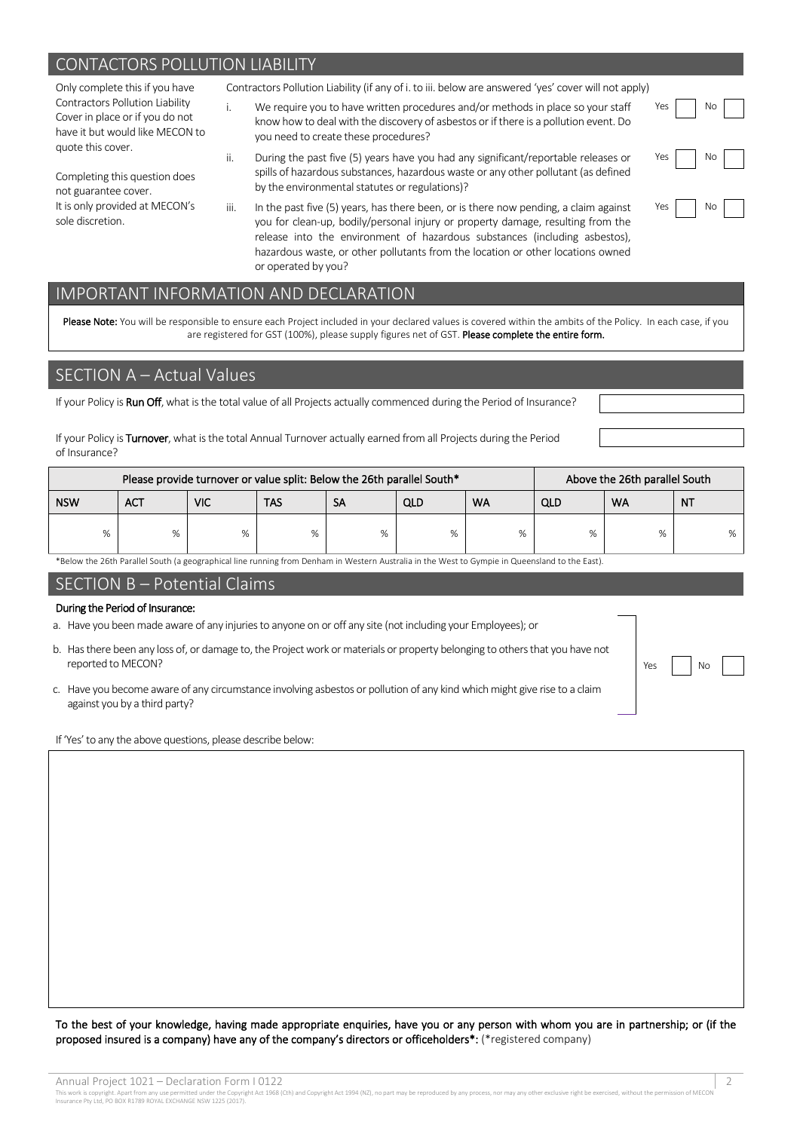#### CONTACTORS POLLUTION LIABILITY

Only complete this if you have Contractors Pollution Liability Cover in place or if you do not have it but would like MECON to quote this cover. Completing this question does not guarantee cover. It is only provided at MECON's sole discretion. Contractors Pollution Liability (if any of i. to iii. below are answered 'yes' cover will not apply) i. We require you to have written procedures and/or methods in place so your staff know how to deal with the discovery of asbestos or if there is a pollution event. Do you need to create these procedures? Yes No ii. During the past five (5) years have you had any significant/reportable releases or spills of hazardous substances, hazardous waste or any other pollutant (as defined by the environmental statutes or regulations)? Yes No iii. In the past five (5) years, has there been, or is there now pending, a claim against No

you for clean-up, bodily/personal injury or property damage, resulting from the release into the environment of hazardous substances (including asbestos), hazardous waste, or other pollutants from the location or other locations owned or operated by you?

#### IMPORTANT INFORMATION AND DECLARATION

Please Note: You will be responsible to ensure each Project included in your declared values is covered within the ambits of the Policy. In each case, if you are registered for GST (100%), please supply figures net of GST. Please complete the entire form.

#### SECTION A – Actual Values

If your Policy is Run Off, what is the total value of all Projects actually commenced during the Period of Insurance?

If your Policy is Turnover, what is the total Annual Turnover actually earned from all Projects during the Period of Insurance?

| Please provide turnover or value split: Below the 26th parallel South* |     |     |     |           |     |           | Above the 26th parallel South |           |           |  |
|------------------------------------------------------------------------|-----|-----|-----|-----------|-----|-----------|-------------------------------|-----------|-----------|--|
| <b>NSW</b>                                                             | ACT | VIC | TAS | <b>SA</b> | QLD | <b>WA</b> | QLD                           | <b>WA</b> | <b>NT</b> |  |
| %                                                                      |     | %   | %   | %         | %   | %         | %                             | %         | %         |  |

\*Below the 26th Parallel South (a geographical line running from Denham in Western Australia in the West to Gympie in Queensland to the East).

#### SECTION B – Potential Claims

#### During the Period of Insurance:

- a. Have you been made aware of any injuries to anyone on or off any site (not including your Employees); or
- b. Has there been any loss of, or damage to, the Project work or materials or property belonging to others that you have not reported to MECON?
- c. Have you become aware of any circumstance involving asbestos or pollution of any kind which might give rise to a claim against you by a third party?

If 'Yes'to any the above questions, please describe below:

To the best of your knowledge, having made appropriate enquiries, have you or any person with whom you are in partnership; or (if the proposed insured is a company) have any of the company's directors or officeholders\*: (\*registered company)